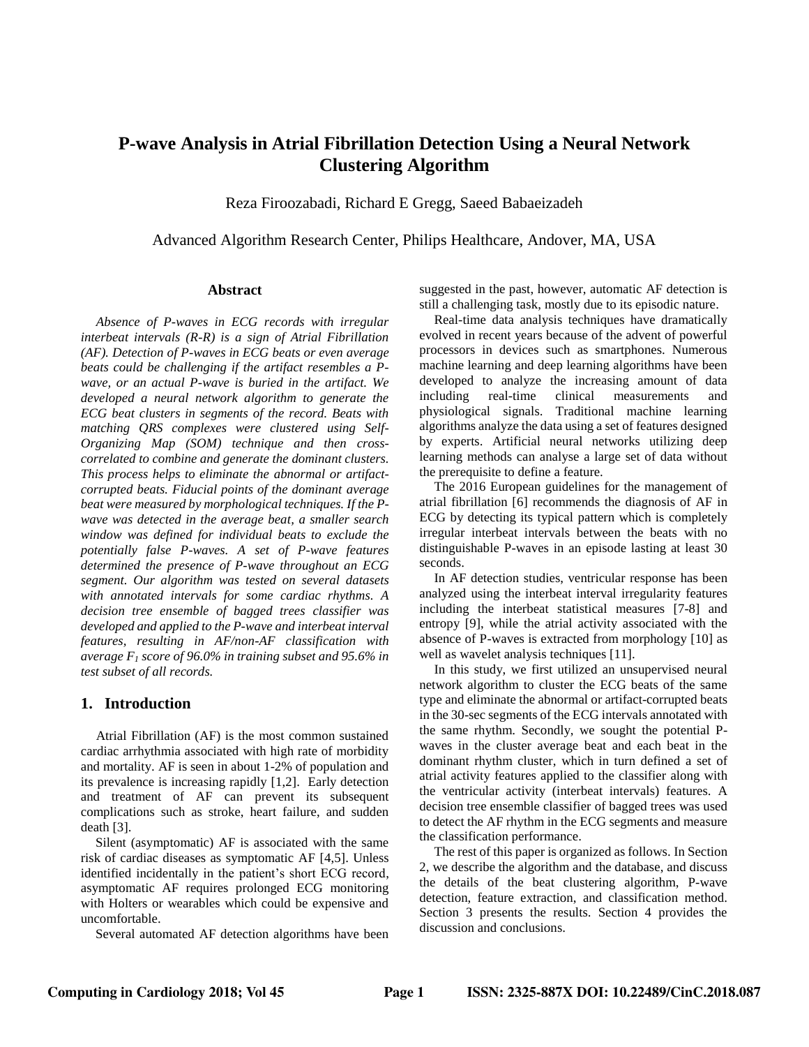# **P-wave Analysis in Atrial Fibrillation Detection Using a Neural Network Clustering Algorithm**

Reza Firoozabadi, Richard E Gregg, Saeed Babaeizadeh

Advanced Algorithm Research Center, Philips Healthcare, Andover, MA, USA

#### **Abstract**

*Absence of P-waves in ECG records with irregular interbeat intervals (R-R) is a sign of Atrial Fibrillation (AF). Detection of P-waves in ECG beats or even average beats could be challenging if the artifact resembles a Pwave, or an actual P-wave is buried in the artifact. We developed a neural network algorithm to generate the ECG beat clusters in segments of the record. Beats with matching QRS complexes were clustered using Self-Organizing Map (SOM) technique and then crosscorrelated to combine and generate the dominant clusters. This process helps to eliminate the abnormal or artifactcorrupted beats. Fiducial points of the dominant average beat were measured by morphological techniques. If the Pwave was detected in the average beat, a smaller search window was defined for individual beats to exclude the potentially false P-waves. A set of P-wave features determined the presence of P-wave throughout an ECG segment. Our algorithm was tested on several datasets with annotated intervals for some cardiac rhythms. A decision tree ensemble of bagged trees classifier was developed and applied to the P-wave and interbeat interval features, resulting in AF/non-AF classification with average F<sup>1</sup> score of 96.0% in training subset and 95.6% in test subset of all records.*

### **1. Introduction**

Atrial Fibrillation (AF) is the most common sustained cardiac arrhythmia associated with high rate of morbidity and mortality. AF is seen in about 1-2% of population and its prevalence is increasing rapidly [1,2]. Early detection and treatment of AF can prevent its subsequent complications such as stroke, heart failure, and sudden death [3].

Silent (asymptomatic) AF is associated with the same risk of cardiac diseases as symptomatic AF [4,5]. Unless identified incidentally in the patient's short ECG record, asymptomatic AF requires prolonged ECG monitoring with Holters or wearables which could be expensive and uncomfortable.

Several automated AF detection algorithms have been

suggested in the past, however, automatic AF detection is still a challenging task, mostly due to its episodic nature.

Real-time data analysis techniques have dramatically evolved in recent years because of the advent of powerful processors in devices such as smartphones. Numerous machine learning and deep learning algorithms have been developed to analyze the increasing amount of data including real-time clinical measurements and physiological signals. Traditional machine learning algorithms analyze the data using a set of features designed by experts. Artificial neural networks utilizing deep learning methods can analyse a large set of data without the prerequisite to define a feature.

The 2016 European guidelines for the management of atrial fibrillation [6] recommends the diagnosis of AF in ECG by detecting its typical pattern which is completely irregular interbeat intervals between the beats with no distinguishable P-waves in an episode lasting at least 30 seconds.

In AF detection studies, ventricular response has been analyzed using the interbeat interval irregularity features including the interbeat statistical measures [7-8] and entropy [9], while the atrial activity associated with the absence of P-waves is extracted from morphology [10] as well as wavelet analysis techniques [11].

In this study, we first utilized an unsupervised neural network algorithm to cluster the ECG beats of the same type and eliminate the abnormal or artifact-corrupted beats in the 30-sec segments of the ECG intervals annotated with the same rhythm. Secondly, we sought the potential Pwaves in the cluster average beat and each beat in the dominant rhythm cluster, which in turn defined a set of atrial activity features applied to the classifier along with the ventricular activity (interbeat intervals) features. A decision tree ensemble classifier of bagged trees was used to detect the AF rhythm in the ECG segments and measure the classification performance.

The rest of this paper is organized as follows. In Section 2, we describe the algorithm and the database, and discuss the details of the beat clustering algorithm, P-wave detection, feature extraction, and classification method. Section 3 presents the results. Section 4 provides the discussion and conclusions.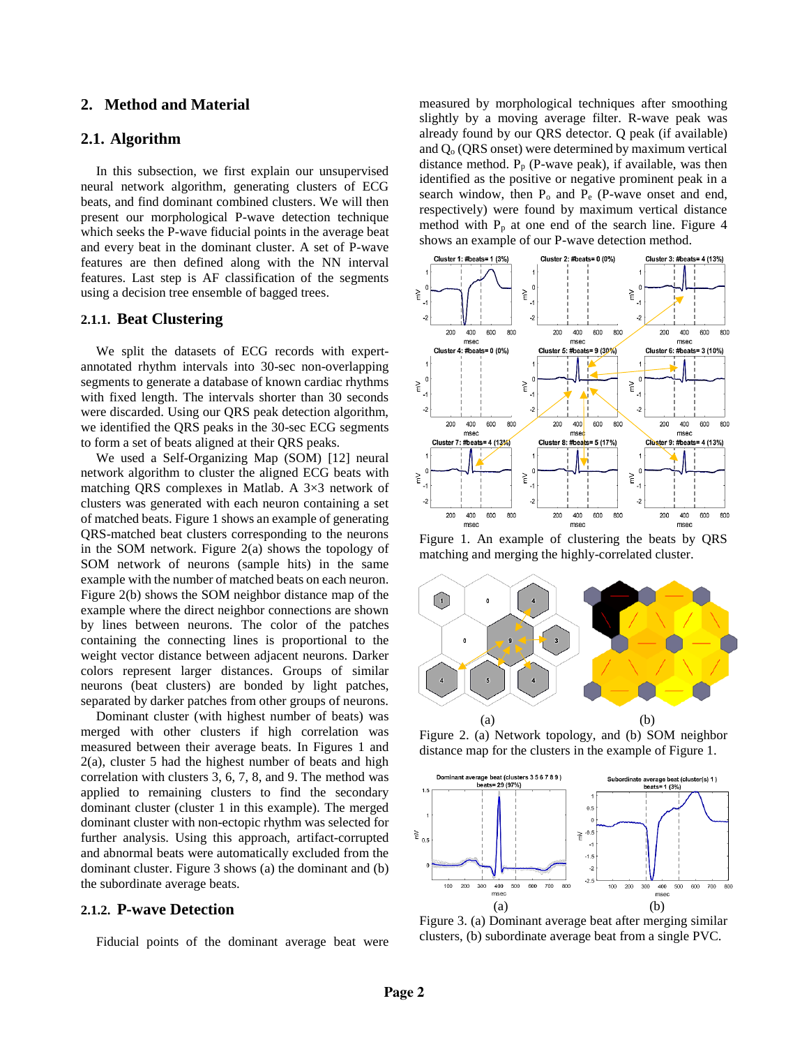### **2. Method and Material**

### **2.1. Algorithm**

In this subsection, we first explain our unsupervised neural network algorithm, generating clusters of ECG beats, and find dominant combined clusters. We will then present our morphological P-wave detection technique which seeks the P-wave fiducial points in the average beat and every beat in the dominant cluster. A set of P-wave features are then defined along with the NN interval features. Last step is AF classification of the segments using a decision tree ensemble of bagged trees.

### **2.1.1. Beat Clustering**

We split the datasets of ECG records with expertannotated rhythm intervals into 30-sec non-overlapping segments to generate a database of known cardiac rhythms with fixed length. The intervals shorter than 30 seconds were discarded. Using our QRS peak detection algorithm, we identified the QRS peaks in the 30-sec ECG segments to form a set of beats aligned at their QRS peaks.

We used a Self-Organizing Map (SOM) [12] neural network algorithm to cluster the aligned ECG beats with matching QRS complexes in Matlab. A 3×3 network of clusters was generated with each neuron containing a set of matched beats. Figure 1 shows an example of generating QRS-matched beat clusters corresponding to the neurons in the SOM network. Figure 2(a) shows the topology of SOM network of neurons (sample hits) in the same example with the number of matched beats on each neuron. Figure 2(b) shows the SOM neighbor distance map of the example where the direct neighbor connections are shown by lines between neurons. The color of the patches containing the connecting lines is proportional to the weight vector distance between adjacent neurons. Darker colors represent larger distances. Groups of similar neurons (beat clusters) are bonded by light patches, separated by darker patches from other groups of neurons.

Dominant cluster (with highest number of beats) was merged with other clusters if high correlation was measured between their average beats. In Figures 1 and 2(a), cluster 5 had the highest number of beats and high correlation with clusters 3, 6, 7, 8, and 9. The method was applied to remaining clusters to find the secondary dominant cluster (cluster 1 in this example). The merged dominant cluster with non-ectopic rhythm was selected for further analysis. Using this approach, artifact-corrupted and abnormal beats were automatically excluded from the dominant cluster. Figure 3 shows (a) the dominant and (b) the subordinate average beats.

### **2.1.2. P-wave Detection**

Fiducial points of the dominant average beat were

measured by morphological techniques after smoothing slightly by a moving average filter. R-wave peak was already found by our QRS detector. Q peak (if available) and  $Q<sub>o</sub>$  (QRS onset) were determined by maximum vertical distance method.  $P_p$  (P-wave peak), if available, was then identified as the positive or negative prominent peak in a search window, then  $P_0$  and  $P_e$  (P-wave onset and end, respectively) were found by maximum vertical distance method with  $P_p$  at one end of the search line. Figure 4 shows an example of our P-wave detection method.



Figure 1. An example of clustering the beats by QRS matching and merging the highly-correlated cluster.



Figure 2. (a) Network topology, and (b) SOM neighbor distance map for the clusters in the example of Figure 1.



Figure 3. (a) Dominant average beat after merging similar clusters, (b) subordinate average beat from a single PVC.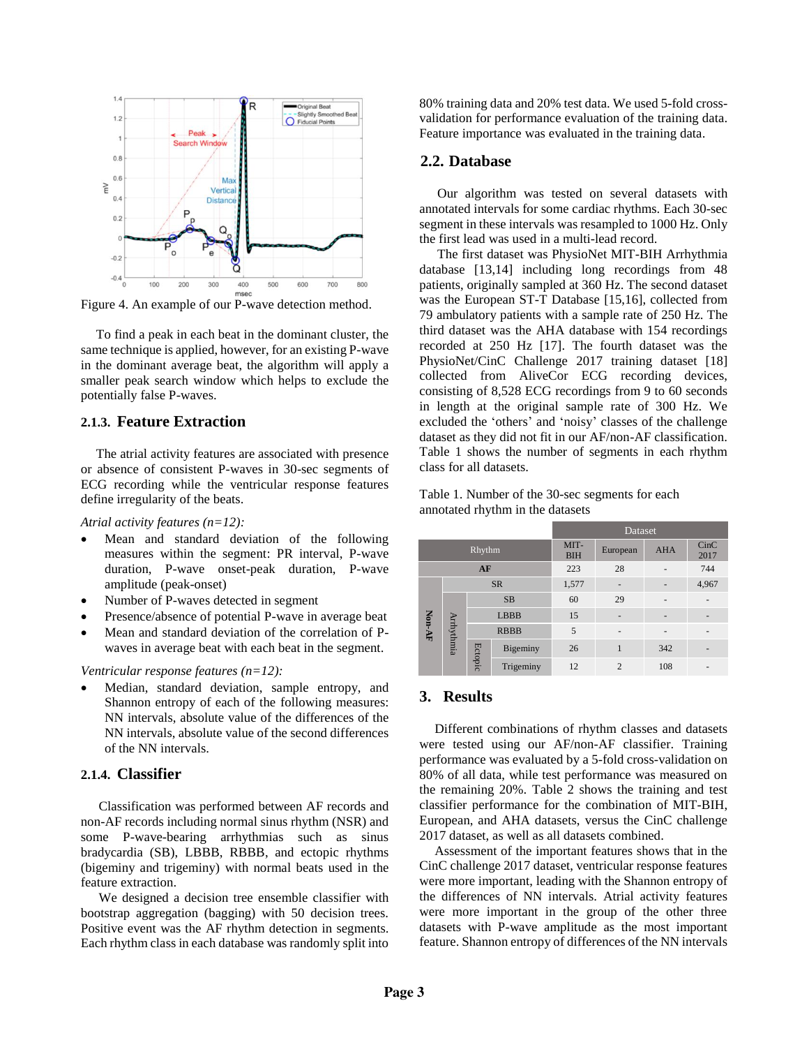

Figure 4. An example of our P-wave detection method.

To find a peak in each beat in the dominant cluster, the same technique is applied, however, for an existing P-wave in the dominant average beat, the algorithm will apply a smaller peak search window which helps to exclude the potentially false P-waves.

## **2.1.3. Feature Extraction**

The atrial activity features are associated with presence or absence of consistent P-waves in 30-sec segments of ECG recording while the ventricular response features define irregularity of the beats.

#### *Atrial activity features (n=12):*

- Mean and standard deviation of the following measures within the segment: PR interval, P-wave duration, P-wave onset-peak duration, P-wave amplitude (peak-onset)
- Number of P-waves detected in segment
- Presence/absence of potential P-wave in average beat
- Mean and standard deviation of the correlation of Pwaves in average beat with each beat in the segment.

*Ventricular response features (n=12):*

• Median, standard deviation, sample entropy, and Shannon entropy of each of the following measures: NN intervals, absolute value of the differences of the NN intervals, absolute value of the second differences of the NN intervals.

### **2.1.4. Classifier**

Classification was performed between AF records and non-AF records including normal sinus rhythm (NSR) and some P-wave-bearing arrhythmias such as sinus bradycardia (SB), LBBB, RBBB, and ectopic rhythms (bigeminy and trigeminy) with normal beats used in the feature extraction.

We designed a decision tree ensemble classifier with bootstrap aggregation (bagging) with 50 decision trees. Positive event was the AF rhythm detection in segments. Each rhythm class in each database was randomly split into

80% training data and 20% test data. We used 5-fold crossvalidation for performance evaluation of the training data. Feature importance was evaluated in the training data.

### **2.2. Database**

Our algorithm was tested on several datasets with annotated intervals for some cardiac rhythms. Each 30-sec segment in these intervals was resampled to 1000 Hz. Only the first lead was used in a multi-lead record.

The first dataset was PhysioNet MIT-BIH Arrhythmia database [13,14] including long recordings from 48 patients, originally sampled at 360 Hz. The second dataset was the European ST-T Database [15,16], collected from 79 ambulatory patients with a sample rate of 250 Hz. The third dataset was the AHA database with 154 recordings recorded at 250 Hz [17]. The fourth dataset was the PhysioNet/CinC Challenge 2017 training dataset [18] collected from AliveCor ECG recording devices, consisting of 8,528 ECG recordings from 9 to 60 seconds in length at the original sample rate of 300 Hz. We excluded the 'others' and 'noisy' classes of the challenge dataset as they did not fit in our AF/non-AF classification. Table 1 shows the number of segments in each rhythm class for all datasets.

Table 1. Number of the 30-sec segments for each annotated rhythm in the datasets

|        |            |             |             | Dataset            |                |                          |                |  |
|--------|------------|-------------|-------------|--------------------|----------------|--------------------------|----------------|--|
| Rhythm |            |             |             | MIT-<br><b>BIH</b> | European       | <b>AHA</b>               | CinC<br>2017   |  |
| AF     |            |             |             | 223                | 28             |                          | 744            |  |
| Non-AF |            |             | <b>SR</b>   | 1,577              | ٠              |                          | 4,967          |  |
|        | Arrhythmia |             | <b>SB</b>   | 60                 | 29             | $\overline{a}$           | $\overline{a}$ |  |
|        |            |             | <b>LBBB</b> | 15                 | ٠              |                          |                |  |
|        |            | <b>RBBB</b> |             | 5                  | ٠              | $\overline{\phantom{a}}$ |                |  |
|        |            | Ectopic     | Bigeminy    | 26                 | 1              | 342                      |                |  |
|        |            |             | Trigeminy   | 12                 | $\overline{c}$ | 108                      |                |  |

### **3. Results**

Different combinations of rhythm classes and datasets were tested using our AF/non-AF classifier. Training performance was evaluated by a 5-fold cross-validation on 80% of all data, while test performance was measured on the remaining 20%. Table 2 shows the training and test classifier performance for the combination of MIT-BIH, European, and AHA datasets, versus the CinC challenge 2017 dataset, as well as all datasets combined.

Assessment of the important features shows that in the CinC challenge 2017 dataset, ventricular response features were more important, leading with the Shannon entropy of the differences of NN intervals. Atrial activity features were more important in the group of the other three datasets with P-wave amplitude as the most important feature. Shannon entropy of differences of the NN intervals